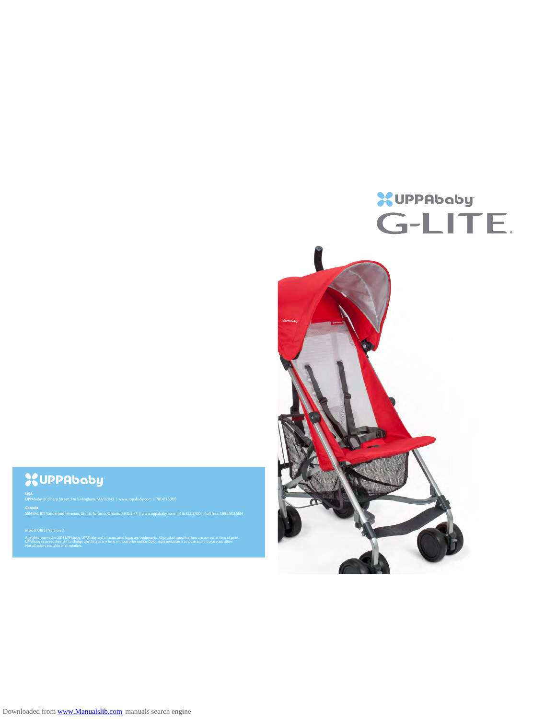# **XUPPAbaby G-LITE.**

# **XUPPAbaby**

#### **USA**

Ī

UPPAbaby, 60 Sharp Street, Ste 3, Hingham, MA 02043 | www.uppababy.com | 781.413.3000

**Canada**

Model 0182 | Version 2

All rights reserved. © 2014 UPPAbaby. UPPAbaby and all associated logos are trademarks. All product specifications are correct at time of print.

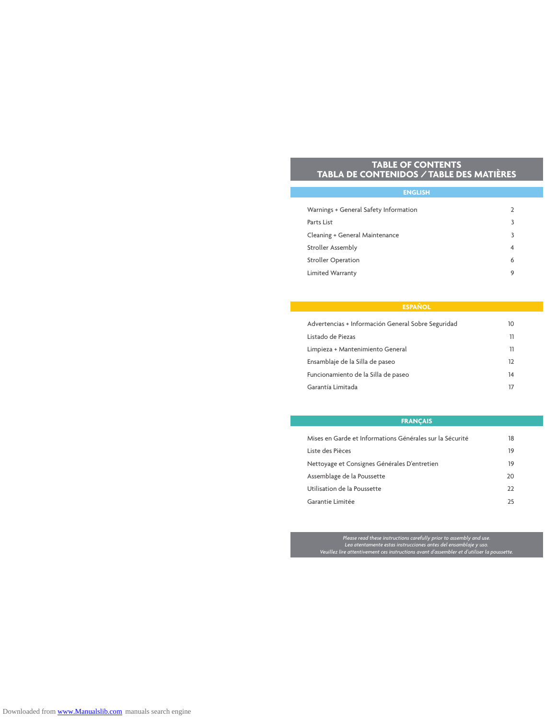# **TABLE OF CONTENTS TABLA DE CONTENIDOS / TABLE DES MATIÈRES**

| <b>ENGLISH</b>                        |                |
|---------------------------------------|----------------|
|                                       |                |
| Warnings + General Safety Information | $\overline{2}$ |
| Parts List                            | 3              |
| Cleaning + General Maintenance        | 3              |
| Stroller Assembly                     | $\overline{4}$ |
| <b>Stroller Operation</b>             | 6              |
| <b>Limited Warranty</b>               | 9              |

| Advertencias + Información General Sobre Seguridad | 10 |
|----------------------------------------------------|----|
| Listado de Piezas                                  | 11 |
| Limpieza + Mantenimiento General                   | 11 |
| Ensamblaje de la Silla de paseo                    | 12 |
| Funcionamiento de la Silla de paseo                | 14 |
| Garantía Limitada                                  | 17 |

# **FRANÇAIS**

| Mises en Garde et Informations Générales sur la Sécurité | 18 |
|----------------------------------------------------------|----|
| Liste des Pièces                                         | 19 |
| Nettoyage et Consignes Générales D'entretien             | 19 |
| Assemblage de la Poussette                               | 20 |
| Utilisation de la Poussette                              | 22 |
| Garantie Limitée                                         | 75 |

. Please read these instructions carefully prior to assembly and use<br>Lea atentamente estas instrucciones antes del ensamblaje y uso.<br>Veuillez lire attentivement ces instructions avant d'assembler et d'utiliser la poussette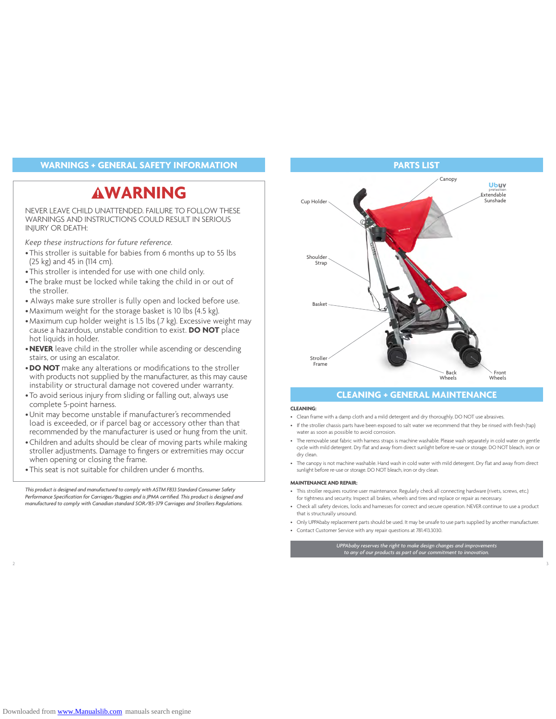# **WARNINGS + GENERAL SAFETY INFORMATION PARTS LIST**

# **WARNING**

NEVER LEAVE CHILD UNATTENDED. FAILURE TO FOLLOW THESE WARNINGS AND INSTRUCTIONS COULD RESULT IN SERIOUS INJURY OR DEATH:

*Keep these instructions for future reference.*

- •This stroller is suitable for babies from 6 months up to 55 lbs (25 kg) and 45 in (114 cm).
- •This stroller is intended for use with one child only.
- •The brake must be locked while taking the child in or out of the stroller.
- Always make sure stroller is fully open and locked before use.
- •Maximum weight for the storage basket is 10 lbs (4.5 kg).
- •Maximum cup holder weight is 1.5 lbs (.7 kg). Excessive weight may cause a hazardous, unstable condition to exist. **DO NOT** place hot liquids in holder.
- •**NEVER** leave child in the stroller while ascending or descending stairs, or using an escalator.
- •**DO NOT** make any alterations or modifications to the stroller with products not supplied by the manufacturer, as this may cause instability or structural damage not covered under warranty.
- •To avoid serious injury from sliding or falling out, always use complete 5-point harness.
- •Unit may become unstable if manufacturer's recommended load is exceeded, or if parcel bag or accessory other than that recommended by the manufacturer is used or hung from the unit.
- •Children and adults should be clear of moving parts while making stroller adjustments. Damage to fingers or extremities may occur when opening or closing the frame.
- •This seat is not suitable for children under 6 months.

*This product is designed and manufactured to comply with ASTM F833 Standard Consumer Safety Performance Specification for Carriages/Buggies and is JPMA certified. This product is designed and manufactured to comply with Canadian standard SOR/85-379 Carriages and Strollers Regulations.*



# **CLEANING + GENERAL MAINTENANCE**

#### **CLEANING:**

2  $\overline{a}$  3

- Clean frame with a damp cloth and a mild detergent and dry thoroughly. DO NOT use abrasives.
- If the stroller chassis parts have been exposed to salt water we recommend that they be rinsed with fresh (tap) water as soon as possible to avoid corrosion.
- The removable seat fabric with harness straps is machine washable. Please wash separately in cold water on gentle cycle with mild detergent. Dry flat and away from direct sunlight before re-use or storage. DO NOT bleach, iron or dry clean.
- The canopy is not machine washable. Hand wash in cold water with mild detergent. Dry flat and away from direct sunlight before re-use or storage. DO NOT bleach, iron or dry clean.

#### **MAINTENANCE AND REPAIR:**

- This stroller requires routine user maintenance. Regularly check all connecting hardware (rivets, screws, etc.) for tightness and security. Inspect all brakes, wheels and tires and replace or repair as necessary.
- Check all safety devices, locks and harnesses for correct and secure operation. NEVER continue to use a product that is structurally unsound.
- Only UPPAbaby replacement parts should be used. It may be unsafe to use parts supplied by another manufacturer.
- Contact Customer Service with any repair questions at 781.413.3030.

*UPPAbaby reserves the right to make design changes and improvements to any of our products as part of our commitment to innovation.*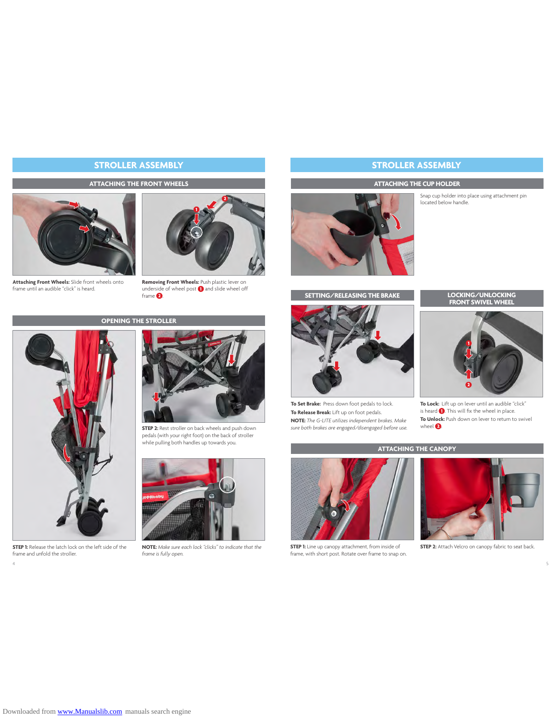#### **ATTACHING THE FRONT WHEELS**



**Attaching Front Wheels:** Slide front wheels onto frame until an audible "click" is heard.



Removing Front Wheels: Push plastic lever on<br>underside of wheel post **()** and slide wheel off<br>frame **©**.

# **OPENING THE STROLLER**



**STEP 1:** Release the latch lock on the left side of the frame and unfold the stroller.



**STEP 2:** Rest stroller on back wheels and push down pedals (with your right foot) on the back of stroller while pulling both handles up towards you.



**NOTE:** *Make sure each lock "clicks" to indicate that the frame is fully open.*



# **STROLLER ASSEMBLY STROLLER ASSEMBLY**

### **ATTACHING THE CUP HOLDER**

Snap cup holder into place using attachment pin located below handle.





**To Set Brake:** Press down foot pedals to lock. **To Release Break:** Lift up on foot pedals. **NOTE:** *The G-LITE utilizes independent brakes. Make* 

*sure both brakes are engaged/disengaged before use.*

# **FRONT SWIVEL WHEEL**



**To Lock:** Lift up on lever until an audible "click" is heard  $\bigcirc$ . This will fix the wheel in place. **To Unlock:** Push down on lever to return to swivel wheel  $\bigcirc$ .

## **ATTACHING THE CANOPY**



**STEP 1:** Line up canopy attachment, from inside of frame, with short post. Rotate over frame to snap on.

4 5



**STEP 2:** Attach Velcro on canopy fabric to seat back.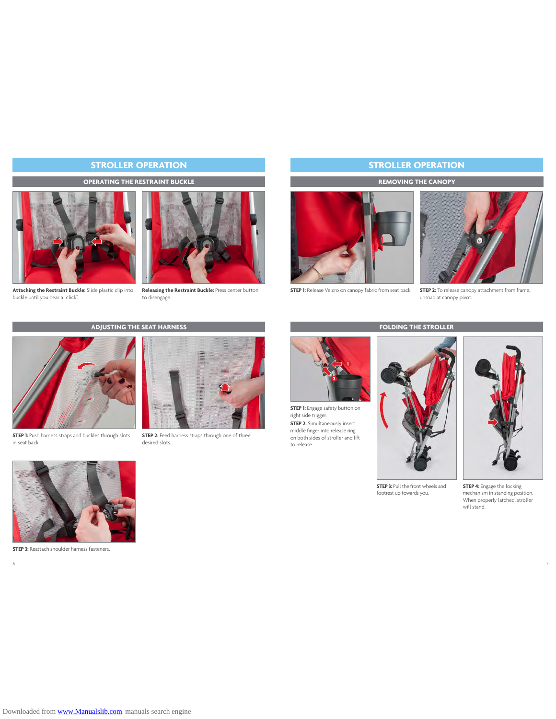# **STROLLER OPERATION**

## **OPERATING THE RESTRAINT BUCKLE**



Attaching the Restraint Buckle: Slide plastic clip into Releasing the Restraint Buckle: Press center button buckle until you hear a "click".



to disengage.

# **STROLLER OPERATION**

## **REMOVING THE CANOPY**



**STEP 1:** Release Velcro on canopy fabric from seat back.



**STEP 2:** To release canopy attachment from frame, unsnap at canopy pivot.

# **ADJUSTING THE SEAT HARNESS**



**STEP 1:** Push harness straps and buckles through slots in seat back.



**STEP 2:** Feed harness straps through one of three desired slots.



**STEP 1:** Engage safety button on right side trigger. **STEP 2:** Simultaneously insert middle finger into release ring on both sides of stroller and lift to release.

 $\frac{1}{7}$ 





**STEP 3: Pull the front wheels and** footrest up towards you.

**STEP 4:** Engage the locking mechanism in standing position. When properly latched, stroller will stand.



**STEP 3:** Reattach shoulder harness fasteners.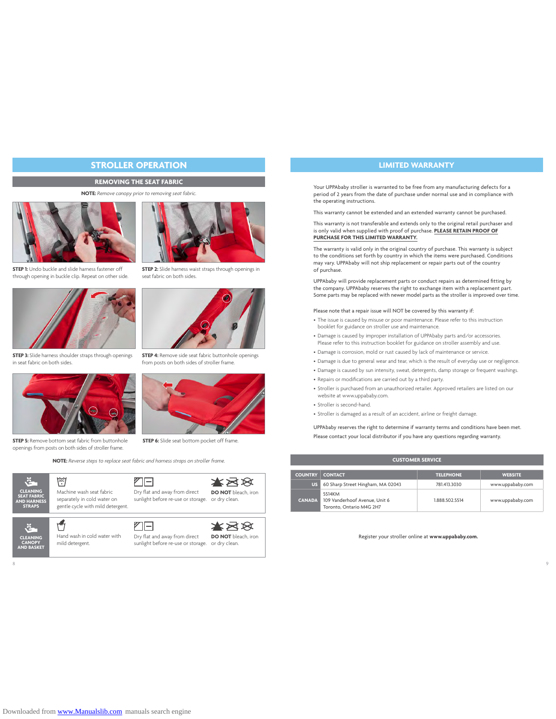# **STROLLER OPERATION**

### **REMOVING THE SEAT FABRIC**

#### **NOTE:** *Remove canopy prior to removing seat fabric.*



**STEP 1:** Undo buckle and slide harness fastener off through opening in buckle clip. Repeat on other side.



**STEP 3:** Slide harness shoulder straps through openings in seat fabric on both sides.



**STEP 5:** Remove bottom seat fabric from buttonhole openings from posts on both sides of stroller frame.

**30** 

**NOTE:** *Reverse steps to replace seat fabric and harness straps on stroller frame.*

乙□







Hand wash in cold water with mild detergent.

乙曰 Dry flat and away from direct sunlight before re-use or storage. or dry clean.

Dry flat and away from direct





☀⊠⊗ **DO NOT** bleach, iron

 $8$ 



Your UPPAbaby stroller is warranted to be free from any manufacturing defects for a period of 2 years from the date of purchase under normal use and in compliance with the operating instructions.

This warranty cannot be extended and an extended warranty cannot be purchased.

This warranty is not transferable and extends only to the original retail purchaser and is only valid when supplied with proof of purchase. **PLEASE RETAIN PROOF OF PURCHASE FOR THIS LIMITED WARRANTY.** 

The warranty is valid only in the original country of purchase. This warranty is subject to the conditions set forth by country in which the items were purchased. Conditions may vary. UPPAbaby will not ship replacement or repair parts out of the country of purchase.

UPPAbaby will provide replacement parts or conduct repairs as determined fitting by the company. UPPAbaby reserves the right to exchange item with a replacement part. Some parts may be replaced with newer model parts as the stroller is improved over time.

#### Please note that a repair issue will NOT be covered by this warranty if:

- The issue is caused by misuse or poor maintenance. Please refer to this instruction booklet for guidance on stroller use and maintenance.
- Damage is caused by improper installation of UPPAbaby parts and/or accessories. Please refer to this instruction booklet for guidance on stroller assembly and use.
- Damage is corrosion, mold or rust caused by lack of maintenance or service.
- Damage is due to general wear and tear, which is the result of everyday use or negligence.
- Damage is caused by sun intensity, sweat, detergents, damp storage or frequent washings.
- Repairs or modifications are carried out by a third party.
- Stroller is purchased from an unauthorized retailer. Approved retailers are listed on our website at www.uppababy.com.
- Stroller is second-hand.
- Stroller is damaged as a result of an accident, airline or freight damage.

UPPAbaby reserves the right to determine if warranty terms and conditions have been met. Please contact your local distributor if you have any questions regarding warranty.

| <b>CUSTOMER SERVICE</b>                                                |                                                                     |                |                  |  |  |
|------------------------------------------------------------------------|---------------------------------------------------------------------|----------------|------------------|--|--|
| <b>TELEPHONE</b><br><b>COUNTRY</b><br><b>CONTACT</b><br><b>WEBSITE</b> |                                                                     |                |                  |  |  |
| <b>US</b>                                                              | 60 Sharp Street Hingham, MA 02043                                   | 781.413.3030   | www.uppababy.com |  |  |
| <b>CANADA</b>                                                          | 5514KM<br>109 Vanderhoof Avenue, Unit 6<br>Toronto, Ontario M4G 2H7 | 1.888.502.5514 | www.uppababy.com |  |  |

Register your stroller online at **www.uppababy.com.**



**STEP 2:** Slide harness waist straps through openings in seat fabric on both sides.



**STEP 4:** Remove side seat fabric buttonhole openings from posts on both sides of stroller frame.

**STEP 6:** Slide seat bottom pocket off frame.

sunlight before re-use or storage. or dry clean.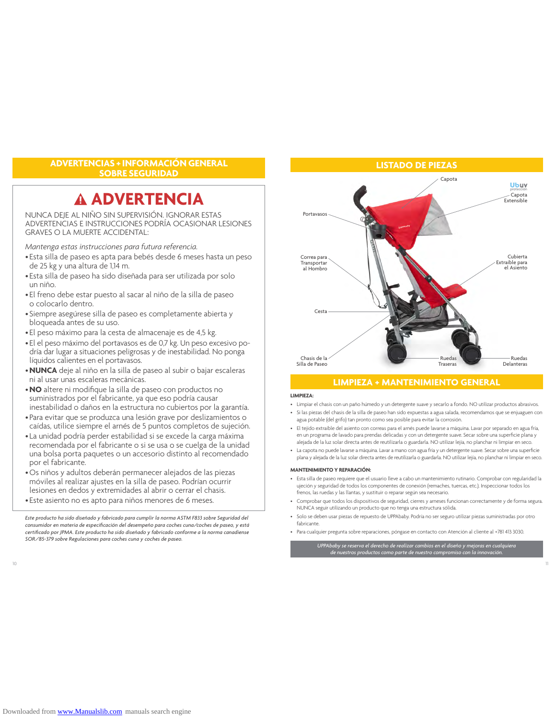## **ADVERTENCIAS + INFORMACIÓN GENERAL SOBRE SEGURIDAD**

# **ADVERTENCIA**

NUNCA DEJE AL NIÑO SIN SUPERVISIÓN. IGNORAR ESTAS ADVERTENCIAS E INSTRUCCIONES PODRÍA OCASIONAR LESIONES GRAVES O LA MUERTE ACCIDENTAL:

*Mantenga estas instrucciones para futura referencia.*

- Esta silla de paseo es apta para bebés desde 6 meses hasta un peso de 25 kg y una altura de 1,14 m.
- Esta silla de paseo ha sido diseñada para ser utilizada por solo un niño.
- El freno debe estar puesto al sacar al niño de la silla de paseo o colocarlo dentro.
- Siempre asegúrese silla de paseo es completamente abierta y bloqueada antes de su uso.
- El peso máximo para la cesta de almacenaje es de 4,5 kg.
- El el peso máximo del portavasos es de 0,7 kg. Un peso excesivo podría dar lugar a situaciones peligrosas y de inestabilidad. No ponga líquidos calientes en el portavasos.
- •**NUNCA** deje al niño en la silla de paseo al subir o bajar escaleras ni al usar unas escaleras mecánicas.
- •**NO** altere ni modifique la silla de paseo con productos no suministrados por el fabricante, ya que eso podría causar inestabilidad o daños en la estructura no cubiertos por la garantía.
- Para evitar que se produzca una lesión grave por deslizamientos o caídas, utilice siempre el arnés de 5 puntos completos de sujeción.
- La unidad podría perder estabilidad si se excede la carga máxima recomendada por el fabricante o si se usa o se cuelga de la unidad una bolsa porta paquetes o un accesorio distinto al recomendado por el fabricante.
- •Os niños y adultos deberán permanecer alejados de las piezas móviles al realizar ajustes en la silla de paseo. Podrían ocurrir lesiones en dedos y extremidades al abrir o cerrar el chasis.
- Este asiento no es apto para niños menores de 6 meses.

*Este producto ha sido diseñado y fabricado para cumplir la norma ASTM F833 sobre Seguridad del consumidor en materia de especificación del desempeño para coches cuna/coches de paseo, y está certificado por JPMA. Este producto ha sido diseñado y fabricado conforme a la norma canadiense SOR/85-379 sobre Regulaciones para coches cuna y coches de paseo.*



## **LIMPIEZA + MANTENIMIENTO GENERAL**

#### **LIMPIEZA:**

- Limpiar el chasis con un paño húmedo y un detergente suave y secarlo a fondo. NO utilizar productos abrasivos.
- Si las piezas del chasis de la silla de paseo han sido expuestas a agua salada, recomendamos que se enjuaguen con agua potable (del grifo) tan pronto como sea posible para evitar la corrosión.
- El tejido extraíble del asiento con correas para el arnés puede lavarse a máquina. Lavar por separado en agua fría, en un programa de lavado para prendas delicadas y con un detergente suave. Secar sobre una superficie plana y alejada de la luz solar directa antes de reutilizarla o guardarla. NO utilizar lejía, no planchar ni limpiar en seco.
- La capota no puede lavarse a máquina. Lavar a mano con agua fría y un detergente suave. Secar sobre una superficie plana y alejada de la luz solar directa antes de reutilizarla o guardarla. NO utilizar lejía, no planchar ni limpiar en seco.

#### **MANTENIMIENTO Y REPARACIÓN:**

- Esta silla de paseo requiere que el usuario lleve a cabo un mantenimiento rutinario. Comprobar con regularidad la ujeción y seguridad de todos los componentes de conexión (remaches, tuercas, etc.). Inspeccionar todos los frenos, las ruedas y las llantas, y sustituir o reparar según sea necesario.
- Comprobar que todos los dispositivos de seguridad, cierres y arneses funcionan correctamente y de forma segura. NUNCA seguir utilizando un producto que no tenga una estructura sólida.
- Solo se deben usar piezas de repuesto de UPPAbaby. Podría no ser seguro utilizar piezas suministradas por otro fabricante.
- Para cualquier pregunta sobre reparaciones, póngase en contacto con Atención al cliente al +781 413 3030.

*UPPAbaby se reserva el derecho de realizar cambios en el diseño y mejoras en cualquiera de nuestros productos como parte de nuestro compromiso con la innovación.*

10 11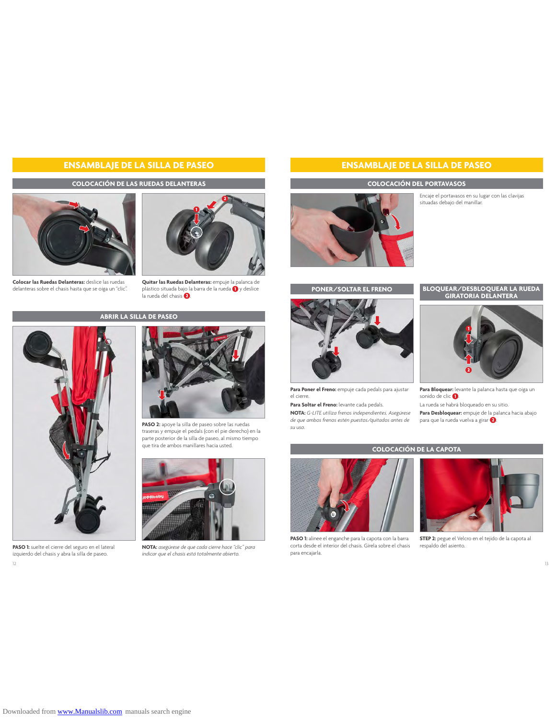# **ENSAMBLAJE DE LA SILLA DE PASEO ENSAMBLAJE DE LA SILLA DE PASEO**

### **COLOCACIÓN DE LAS RUEDAS DELANTERAS**







**Quitar las Ruedas Delanteras:** empuje la palanca de plástico situada bajo la barra de la rueda  $\bf{0}$  y deslice .<br>la rueda del chasis  $\bf{2}$ .

# **ABRIR LA SILLA DE PASEO**



**PASO 1:** suelte el cierre del seguro en el lateral izquierdo del chasis y abra la silla de paseo.



**PASO 2:** apoye la silla de paseo sobre las ruedas traseras y empuje el pedals (con el pie derecho) en la parte posterior de la silla de paseo, al mismo tiempo que tira de ambos manillares hacia usted.



**NOTA:** *asegúrese de que cada cierre hace "clic" para indicar que el chasis está totalmente abierto.*

### **COLOCACIÓN DEL PORTAVASOS**

Encaje el portavasos en su lugar con las clavijas situadas debajo del manillar.





**Para Poner el Freno:** empuje cada pedals para ajustar el cierre.

**Para Soltar el Freno:** levante cada pedals.

**NOTA:** *G-LITE utiliza frenos independientes. Asegúrese de que ambos frenos estén puestos/quitados antes de su uso.*

# **PONER/SOLTAR EL FRENO BLOQUEAR/DESBLOQUEAR LA RUEDA GIRATORIA DELANTERA**



**Para Bloquear:** levante la palanca hasta que oiga un sonido de clic $\bullet$ La rueda se habrá bloqueado en su sitio.

**Para Desbloquear:** empuje de la palanca hacia abajo .<br>para que la rueda vuelva a girar **. 2**.

## **COLOCACIÓN DE LA CAPOTA**



**PASO 1:** alinee el enganche para la capota con la barra corta desde el interior del chasis. Gírela sobre el chasis para encajarla.

12 a contract to the contract of the contract of the contract of the contract of the contract of the contract of the contract of the contract of the contract of the contract of the contract of the contract of the contract



**STEP 2:** pegue el Velcro en el tejido de la capota al respaldo del asiento.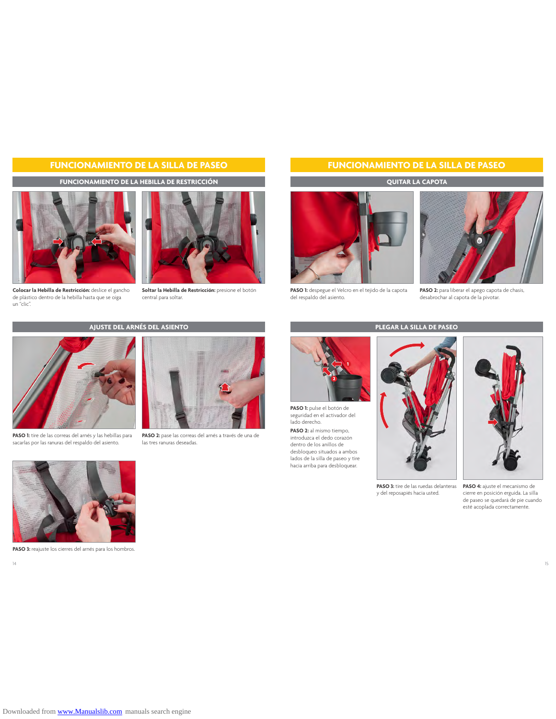# **FUNCIONAMIENTO DE LA SILLA DE PASEO FUNCIONAMIENTO DE LA SILLA DE PASEO**

**FUNCIONAMIENTO DE LA HEBILLA DE RESTRICCIÓN**



**Colocar la Hebilla de Restricción:** deslice el gancho de plástico dentro de la hebilla hasta que se oiga un "clic".



**Soltar la Hebilla de Restricción:** presione el botón central para soltar.

**AJUSTE DEL ARNÉS DEL ASIENTO**



**PASO 1:** tire de las correas del arnés y las hebillas para sacarlas por las ranuras del respaldo del asiento.



**PASO 2:** pase las correas del arnés a través de una de las tres ranuras deseadas.

### **QUITAR LA CAPOTA**



**PASO 1:** despegue el Velcro en el tejido de la capota del respaldo del asiento.



**PASO 2:** para liberar el apego capota de chasis, desabrochar al capota de la pivotar.



**PASO 1:** pulse el botón de seguridad en el activador del lado derecho.

**PASO 2:** al mismo tiempo, introduzca el dedo corazón dentro de los anillos de desbloqueo situados a ambos lados de la silla de paseo y tire hacia arriba para desbloquear.





cierre en posición erguida. La silla de paseo se quedará de pie cuando esté acoplada correctamente.



PASO 3: reajuste los cierres del arnés para los hombros.

14 a and the state of the state of the state of the state of the state of the state of the state of the state of the state of the state of the state of the state of the state of the state of the state of the state of the s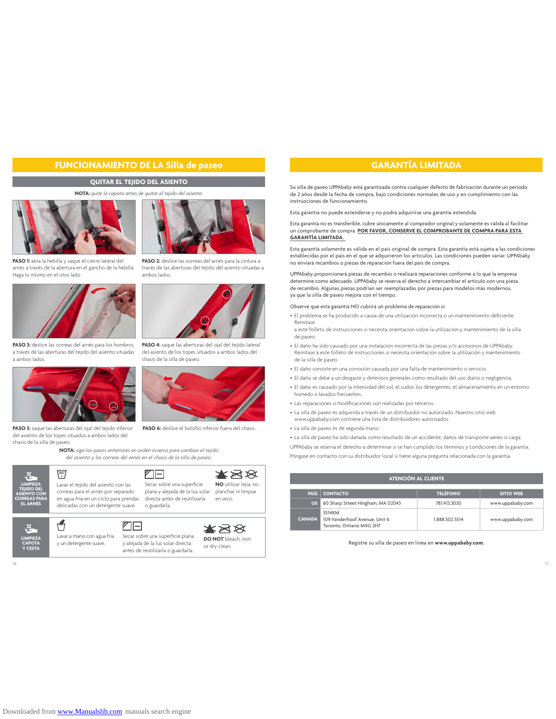# **FUNCIONAMIENTO DE LA Silla de paseo GARANTÍA LIMITADA**

## **QUITAR EL TEJIDO DEL ASIENTO**

#### **NOTA:** *quite la capota antes de quitar el tejido del asiento.*



**PASO 1:** abra la hebilla y saque el cierre lateral del arnés a través de la abertura en el gancho de la hebilla. Haga lo mismo en el otro lado



PASO 3: deslice las correas del arnés para los hombros a través de las aberturas del tejido del asiento situadas a ambos lados.



**PASO 5:** saque las aberturas del ojal del tejido inferior del asiento de los topes situados a ambos lados del chasis de la silla de paseo.

**NOTA:** *siga los pasos anteriores en orden inverso para cambiar el tejido del asiento y las correas del arnés en el chasis de la silla de paseo.*





**PASO 2:** deslice las correas del arnés para la cintura a través de las aberturas del tejido del asiento situadas a ambos lados.



**PASO 4:** saque las aberturas del ojal del tejido lateral del asiento de los topes situados a ambos lados del chasis de la silla de paseo.



PASO 6: deslice el bolsillo inferior fuera del chasis.

Su silla de paseo UPPAbaby está garantizada contra cualquier defecto de fabricación durante un periodo de 2 años desde la fecha de compra, bajo condiciones normales de uso y en cumplimiento con las instrucciones de funcionamiento.

Esta garantía no puede extenderse y no podrá adquirirse una garantía extendida.

Esta garantía no es transferible, cubre únicamente al comprador original y solamente es válida al facilitar un comprobante de compra. **POR FAVOR, CONSERVE EL COMPROBANTE DE COMPRA PARA ESTA GARANTÍA LIMITADA.** 

Esta garantía solamente es válida en el país original de compra. Esta garantía está sujeta a las condiciones establecidas por el país en el que se adquirieron los artículos. Las condiciones pueden variar. UPPAbaby no enviará recambios o piezas de reparación fuera del país de compra.

UPPAbaby proporcionará piezas de recambio o realizará reparaciones conforme a lo que la empresa determine como adecuado. UPPAbaby se reserva el derecho a intercambiar el artículo con una pieza de recambio. Algunas piezas podrían ser reemplazadas por piezas para modelos más modernos, ya que la silla de paseo mejora con el tiempo.

Observe que esta garantía NO cubrirá un problema de reparación si:

• El problema se ha producido a causa de una utilización incorrecta o un mantenimiento deficiente. Remítase

a este folleto de instrucciones si necesita orientación sobre la utilización y mantenimiento de la silla de paseo.

- El daño ha sido causado por una instalación incorrecta de las piezas y/o accesorios de UPPAbaby. Remítase a este folleto de instrucciones si necesita orientación sobre la utilización y mantenimiento de la silla de paseo.
- El daño consiste en una corrosión causada por una falta de mantenimiento o servicio.
- El daño se debe a un desgaste y deterioro generales como resultado del uso diario o negligencia. • El daño es causado por la intensidad del sol, el sudor, los detergentes, el almacenamiento en un entorno húmedo o lavados frecuentes.
- Las reparaciones o modificaciones son realizadas por terceros.
- La silla de paseo es adquirida a través de un distribuidor no autorizado. Nuestro sitio web
- www.uppababy.com contiene una lista de distribuidores autorizados.
- La silla de paseo es de segunda mano.

• La silla de paseo ha sido dañada como resultado de un accidente, daños de transporte aéreo o carga. UPPAbaby se reserva el derecho a determinar si se han cumplido los términos y condiciones de la garantía. Póngase en contacto con su distribuidor local si tiene alguna pregunta relacionada con la garantía.

| <b>ATENCIÓN AL CLIENTE</b> |                                                                     |                 |                  |
|----------------------------|---------------------------------------------------------------------|-----------------|------------------|
| <b>PAÍS</b>                | <b>CONTACTO</b>                                                     | <b>TELÉFONO</b> | <b>SITIO WEB</b> |
| <b>US</b>                  | 60 Sharp Street Hingham, MA 02043                                   | 781.413.3030    | www.uppababy.com |
| <b>CANADA</b>              | 5514KM<br>109 Vanderhoof Avenue, Unit 6<br>Toronto, Ontario M4G 2H7 | 1.888.502.5514  | www.uppababy.com |

Registre su silla de paseo en línea en **www.uppababy.com.**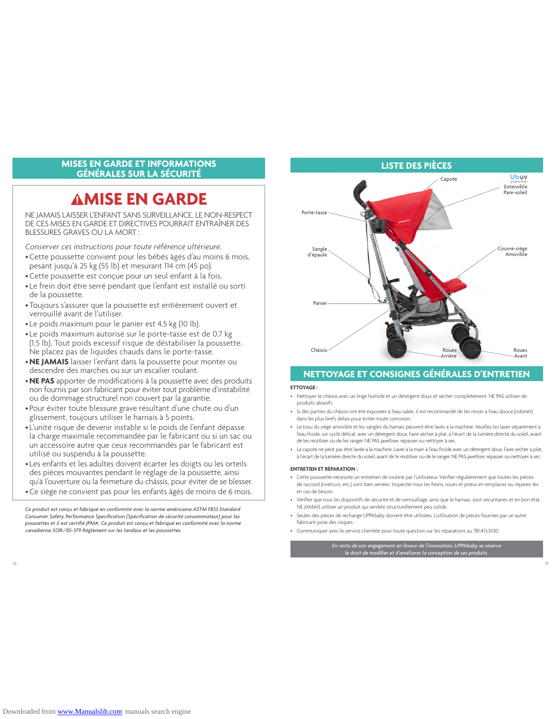## **MISES EN GARDE ET INFORMATIONS GÉNÉRALES SUR LA SÉCURITÉ**

# **MISE EN GARDE**

NE JAMAIS LAISSER L'ENFANT SANS SURVEILLANCE. LE NON-RESPECT DE CES MISES EN GARDE ET DIRECTIVES POURRAIT ENTRAÎNER DES BLESSURES GRAVES OU LA MORT :

*Conserver ces instructions pour toute référence ultérieure.*

- •Cette poussette convient pour les bébés âgés d'au moins 6 mois, pesant jusqu'à 25 kg (55 lb) et mesurant 114 cm (45 po).
- •Cette poussette est conçue pour un seul enfant à la fois.
- Le frein doit être serré pendant que l'enfant est installé ou sorti de la poussette.
- •Toujours s'assurer que la poussette est entièrement ouvert et verrouillé avant de l'utiliser.
- Le poids maximum pour le panier est 4,5 kg (10 lb).
- Le poids maximum autorisé sur le porte-tasse est de 0,7 kg (1,5 lb). Tout poids excessif risque de déstabiliser la poussette. Ne placez pas de liquides chauds dans le porte-tasse.
- •**NE JAMAIS** laisser l'enfant dans la poussette pour monter ou descendre des marches ou sur un escalier roulant.
- •**NE PAS** apporter de modifications à la poussette avec des produits non fournis par son fabricant pour éviter tout problème d'instabilité ou de dommage structurel non couvert par la garantie.
- Pour éviter toute blessure grave résultant d'une chute ou d'un glissement, toujours utiliser le harnais à 5 points.
- L'unité risque de devenir instable si le poids de l'enfant dépasse la charge maximale recommandée par le fabricant ou si un sac ou un accessoire autre que ceux recommandés par le fabricant est utilisé ou suspendu à la poussette.
- Les enfants et les adultes doivent écarter les doigts ou les orteils des pièces mouvantes pendant le réglage de la poussette, ainsi qu'à l'ouverture ou la fermeture du châssis, pour éviter de se blesser.
- •Ce siège ne convient pas pour les enfants âgés de moins de 6 mois.

*Ce produit est conçu et fabriqué en conformité avec la norme américaine ASTM F833 Standard Consumer Safety Performance Specification (Spécification de sécurité consommateur) pour les poussettes et il est certifié JPMA. Ce produit est conçu et fabriqué en conformité avec la norme canadienne SOR/85-379 Règlement sur les landaus et les poussettes.*



# **NETTOYAGE ET CONSIGNES GÉNÉRALES D'ENTRETIEN**

#### **ETTOYAGE :**

- Nettoyer le châssis avec un linge humide et un détergent doux et sécher complètement. NE PAS utiliser de produits abrasifs.
- Si des parties du châssis ont été exposées à l'eau salée, il est recommandé de les rincer à l'eau douce (robinet) dans les plus brefs délais pour éviter toute corrosion.
- Le tissu du siège amovible et les sangles du harnais peuvent être lavés à la machine. Veuillez les laver séparément à l'eau froide, sur cycle délicat, avec un détergent doux. Faire sécher à plat, à l'écart de la lumière directe du soleil, avant de les réutiliser ou de les ranger. NE PAS javelliser, repasser ou nettoyer à sec.
- La capote ne peut pas être lavée à la machine. Laver à la main à l'eau froide avec un détergent doux. Faire sécher à plat, à l'écart de la lumière directe du soleil, avant de le réutiliser ou de le ranger. NE PAS javelliser, repasser ou nettoyer à sec.

#### **ENTRETIEN ET RÉPARATION :**

- Cette poussette nécessite un entretien de routine par l'utilisateur. Vérifier régulièrement que toutes les pièces de raccord (rivets,vis, etc.) sont bien serrées. Inspecter tous les freins, roues et pneus et remplacez ou réparez-les en cas de besoin.
- Vérifier que tous les dispositifs de sécurité et de verrouillage, ainsi que le harnais, sont sécuritaires et en bon état. NE JAMAIS utiliser un produit qui semble structurellement peu solide.
- Seules des pièces de rechange UPPAbaby doivent être utilisées. L'utilisation de pièces fournies par un autre fabricant pose des risques.
- Communiquer avec le service clientèle pour toute question sur les réparations au 781.413.3030.

*En vertu de son engagement en faveur de l'innovation, UPPAbaby se réserve le droit de modifier et d'améliorer la conception de ses produits.*

18 **18**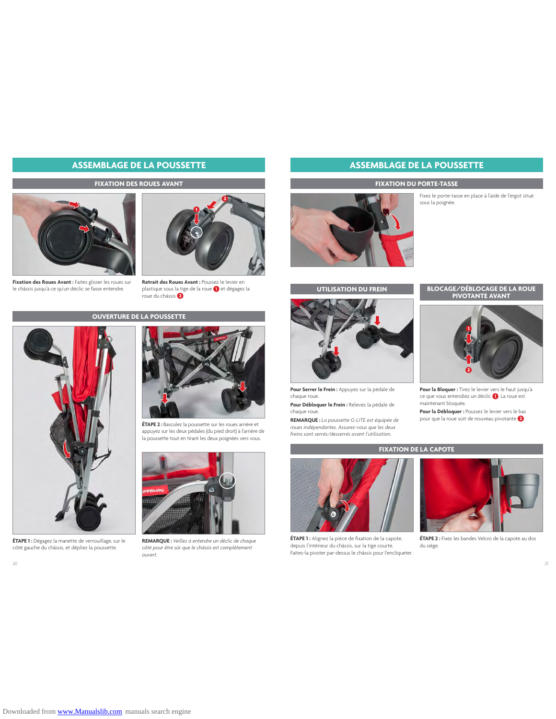# **ASSEMBLAGE DE LA POUSSETTE ASSEMBLAGE DE LA POUSSETTE**

#### **FIXATION DES ROUES AVANT**







**Retrait des Roues Avant :** Poussez le levier en plastique sous la tige de la roue et dégagez la roue du châssis .

### **OUVERTURE DE LA POUSSETTE**



**ÉTAPE 1 :** Dégagez la manette de verrouillage, sur le côté gauche du châssis, et dépliez la poussette.



**ÉTAPE 2 :** Basculez la poussette sur les roues arrière et appuyez sur les deux pédales (du pied droit) à l'arrière de la poussette tout en tirant les deux poignées vers vous.



**REMARQUE :** *Veillez à entendre un déclic de chaque côté pour être sûr que le châssis est complètement ouvert.*



#### **FIXATION DU PORTE-TASSE**

Fixez le porte-tasse en place à l'aide de l'ergot situé sous la poignée.





**Pour Serrer le Frein :** Appuyez sur la pédale de chaque roue.

**Pour Débloquer le Frein :** Relevez la pédale de chaque roue.

**REMARQUE :** *La poussette G-LITE est équipée de roues indépendantes. Assurez-vous que les deux freins sont serrés/desserrés avant l'utilisation.*

# **UTILISATION DU FREIN BLOCAGE/DÉBLOCAGE DE LA ROUE PIVOTANTE AVANT**



**Pour la Bloquer :** Tirez le levier vers le haut jusqu'à ce que vous entendiez un déclic <sup>1</sup>. La roue est maintenant bloquée.

**Pour la Débloquer :** Poussez le levier vers le bas pour que la roue soit de nouveau pivotante  $\bullet$ .

## **FIXATION DE LA CAPOTE**



**ÉTAPE 1 :** Alignez la pièce de fixation de la capote, depuis l'intérieur du châssis, sur la tige courte. Faites-la pivoter par-dessus le châssis pour l'encliqueter.



**ÉTAPE 2 :** Fixez les bandes Velcro de la capote au dos du siège.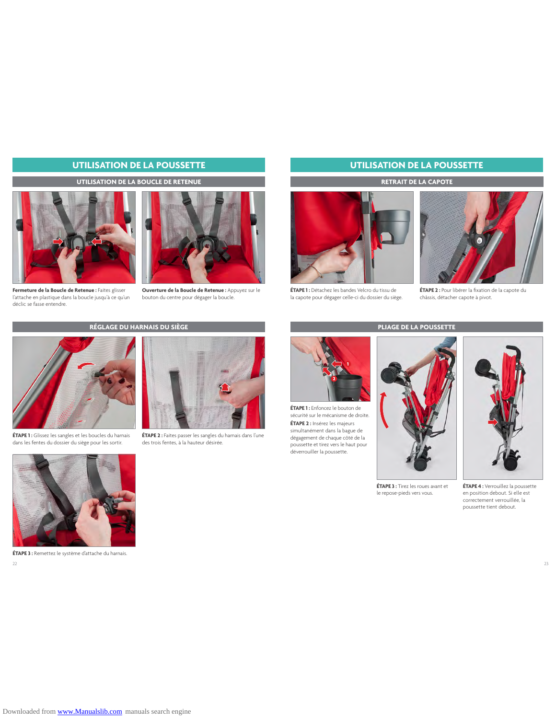# **UTILISATION DE LA POUSSETTE UTILISATION DE LA POUSSETTE**

### **UTILISATION DE LA BOUCLE DE RETENUE**



**Fermeture de la Boucle de Retenue :** Faites glisser l'attache en plastique dans la boucle jusqu'à ce qu'un déclic se fasse entendre.



**Ouverture de la Boucle de Retenue :** Appuyez sur le bouton du centre pour dégager la boucle.

## **RÉGLAGE DU HARNAIS DU SIÈGE**



**ÉTAPE 1 :** Glissez les sangles et les boucles du harnais dans les fentes du dossier du siège pour les sortir.



**ÉTAPE 3 :** Remettez le système d'attache du harnais.

**ÉTAPE 2 :** Faites passer les sangles du harnais dans l'une des trois fentes, à la hauteur désirée.



**ÉTAPE 1 :** Détachez les bandes Velcro du tissu de la capote pour dégager celle-ci du dossier du siège.



**ÉTAPE 2 :** Pour libérer la fixation de la capote du châssis, détacher capote à pivot.



**ÉTAPE 1 :** Enfoncez le bouton de sécurité sur le mécanisme de droite. **ÉTAPE 2 :** Insérez les majeurs simultanément dans la bague de dégagement de chaque côté de la poussette et tirez vers le haut pour déverrouiller la poussette.

**ÉTAPE 3 :** Tirez les roues avant et le repose-pieds vers vous.



**ÉTAPE 4 :** Verrouillez la poussette en position debout. Si elle est correctement verrouillée, la poussette tient debout.